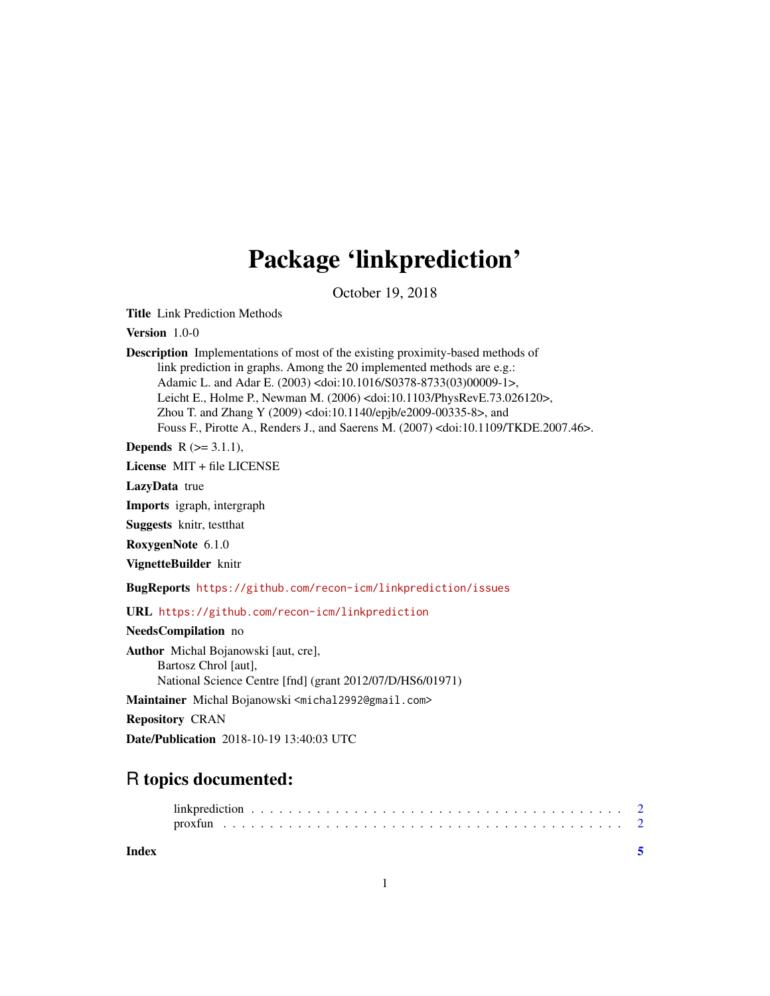## Package 'linkprediction'

October 19, 2018

<span id="page-0-0"></span>Title Link Prediction Methods

Version 1.0-0

Description Implementations of most of the existing proximity-based methods of link prediction in graphs. Among the 20 implemented methods are e.g.: Adamic L. and Adar E. (2003) <doi:10.1016/S0378-8733(03)00009-1>, Leicht E., Holme P., Newman M. (2006) <doi:10.1103/PhysRevE.73.026120>, Zhou T. and Zhang Y (2009) <doi:10.1140/epjb/e2009-00335-8>, and Fouss F., Pirotte A., Renders J., and Saerens M. (2007) <doi:10.1109/TKDE.2007.46>.

**Depends**  $R (= 3.1.1)$ ,

License MIT + file LICENSE

LazyData true

Imports igraph, intergraph

Suggests knitr, testthat

RoxygenNote 6.1.0

VignetteBuilder knitr

BugReports <https://github.com/recon-icm/linkprediction/issues>

URL <https://github.com/recon-icm/linkprediction>

NeedsCompilation no

Author Michal Bojanowski [aut, cre], Bartosz Chrol [aut], National Science Centre [fnd] (grant 2012/07/D/HS6/01971)

Maintainer Michal Bojanowski <michal2992@gmail.com>

Repository CRAN

Date/Publication 2018-10-19 13:40:03 UTC

### R topics documented:

**Index** [5](#page-4-0). The second state of the second state of the second state of the second state of the second state of the second state of the second state of the second state of the second state of the second state of the second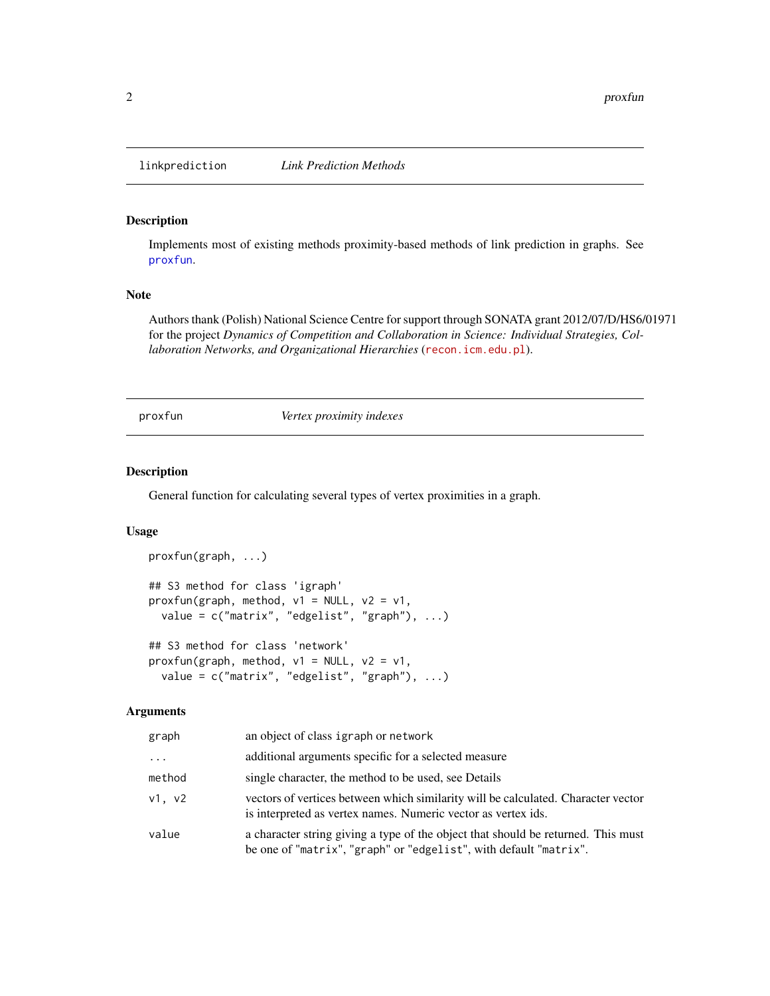<span id="page-1-0"></span>

#### Description

Implements most of existing methods proximity-based methods of link prediction in graphs. See [proxfun](#page-1-1).

#### Note

Authors thank (Polish) National Science Centre for support through SONATA grant 2012/07/D/HS6/01971 for the project *Dynamics of Competition and Collaboration in Science: Individual Strategies, Collaboration Networks, and Organizational Hierarchies* (<recon.icm.edu.pl>).

<span id="page-1-1"></span>proxfun *Vertex proximity indexes*

#### Description

General function for calculating several types of vertex proximities in a graph.

#### Usage

```
proxfun(graph, ...)
## S3 method for class 'igraph'
proxfun(graph, method, v1 = NULL, v2 = v1,
 value = c("matrix", "edgelist", "graph"), ...)
## S3 method for class 'network'
proxfun(graph, method, v1 = NULL, v2 = v1,
 value = c("matrix", "edgelist", "graph"), ...)
```
#### Arguments

| graph    | an object of class igraph or network                                                                                                                   |
|----------|--------------------------------------------------------------------------------------------------------------------------------------------------------|
| $\cdots$ | additional arguments specific for a selected measure                                                                                                   |
| method   | single character, the method to be used, see Details                                                                                                   |
| v1. v2   | vectors of vertices between which similarity will be calculated. Character vector<br>is interpreted as vertex names. Numeric vector as vertex ids.     |
| value    | a character string giving a type of the object that should be returned. This must<br>be one of "matrix", "graph" or "edgelist", with default "matrix". |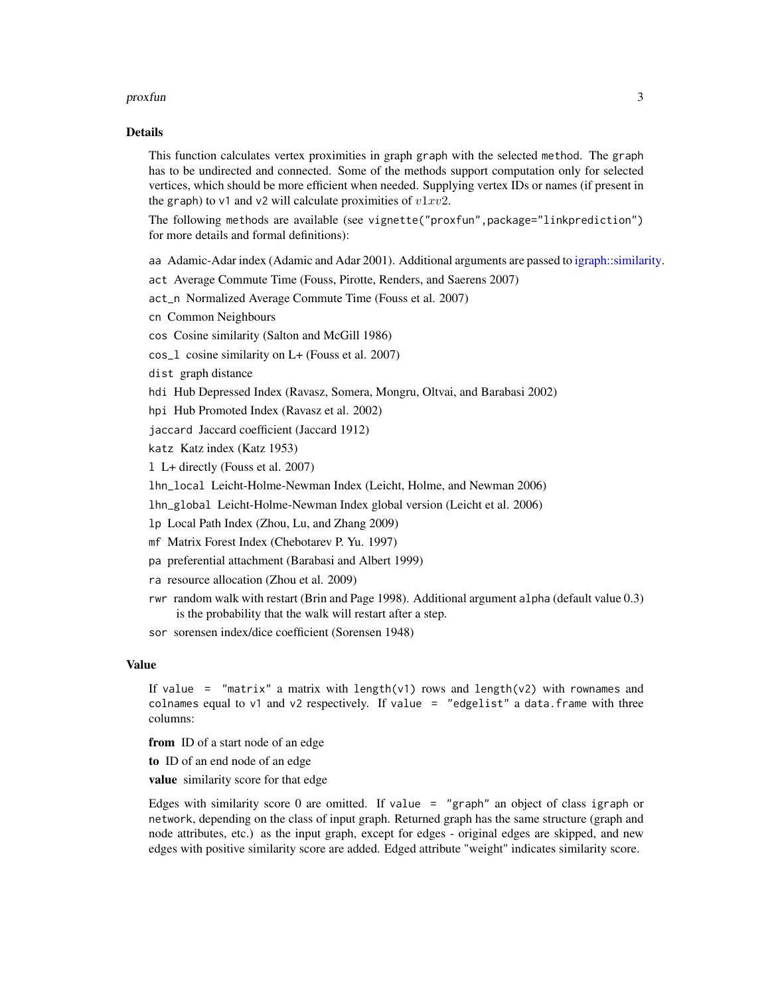#### <span id="page-2-0"></span>proxfun 3

#### Details

This function calculates vertex proximities in graph graph with the selected method. The graph has to be undirected and connected. Some of the methods support computation only for selected vertices, which should be more efficient when needed. Supplying vertex IDs or names (if present in the graph) to v1 and v2 will calculate proximities of  $v1xv2$ .

The following methods are available (see vignette("proxfun",package="linkprediction") for more details and formal definitions):

aa Adamic-Adar index (Adamic and Adar 2001). Additional arguments are passed to [igraph::similarity.](#page-0-0)

act Average Commute Time (Fouss, Pirotte, Renders, and Saerens 2007)

act\_n Normalized Average Commute Time (Fouss et al. 2007)

cn Common Neighbours

cos Cosine similarity (Salton and McGill 1986)

cos\_l cosine similarity on L+ (Fouss et al. 2007)

dist graph distance

hdi Hub Depressed Index (Ravasz, Somera, Mongru, Oltvai, and Barabasi 2002)

hpi Hub Promoted Index (Ravasz et al. 2002)

jaccard Jaccard coefficient (Jaccard 1912)

katz Katz index (Katz 1953)

l L+ directly (Fouss et al. 2007)

lhn\_local Leicht-Holme-Newman Index (Leicht, Holme, and Newman 2006)

lhn\_global Leicht-Holme-Newman Index global version (Leicht et al. 2006)

lp Local Path Index (Zhou, Lu, and Zhang 2009)

mf Matrix Forest Index (Chebotarev P. Yu. 1997)

- pa preferential attachment (Barabasi and Albert 1999)
- ra resource allocation (Zhou et al. 2009)
- rwr random walk with restart (Brin and Page 1998). Additional argument alpha (default value 0.3) is the probability that the walk will restart after a step.

sor sorensen index/dice coefficient (Sorensen 1948)

#### Value

If value = "matrix" a matrix with length(v1) rows and length(v2) with rownames and colnames equal to  $v1$  and  $v2$  respectively. If value = "edgelist" a data.frame with three columns:

from ID of a start node of an edge

to ID of an end node of an edge

value similarity score for that edge

Edges with similarity score 0 are omitted. If value = "graph" an object of class igraph or network, depending on the class of input graph. Returned graph has the same structure (graph and node attributes, etc.) as the input graph, except for edges - original edges are skipped, and new edges with positive similarity score are added. Edged attribute "weight" indicates similarity score.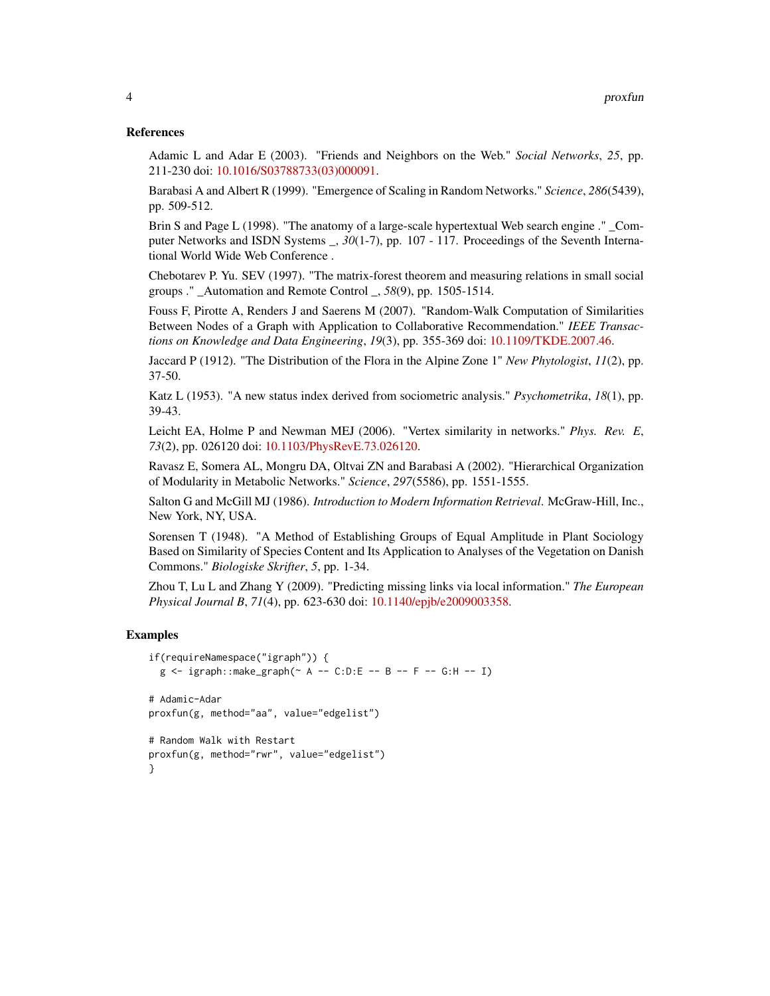#### References

Adamic L and Adar E (2003). "Friends and Neighbors on the Web." *Social Networks*, *25*, pp. 211-230 doi: [10.1016/S03788733\(03\)000091.](http://doi.org/10.1016/S0378-8733(03)00009-1)

Barabasi A and Albert R (1999). "Emergence of Scaling in Random Networks." *Science*, *286*(5439), pp. 509-512.

Brin S and Page L (1998). "The anatomy of a large-scale hypertextual Web search engine ." \_Computer Networks and ISDN Systems \_, *30*(1-7), pp. 107 - 117. Proceedings of the Seventh International World Wide Web Conference .

Chebotarev P. Yu. SEV (1997). "The matrix-forest theorem and measuring relations in small social groups ." \_Automation and Remote Control \_, *58*(9), pp. 1505-1514.

Fouss F, Pirotte A, Renders J and Saerens M (2007). "Random-Walk Computation of Similarities Between Nodes of a Graph with Application to Collaborative Recommendation." *IEEE Transactions on Knowledge and Data Engineering*, *19*(3), pp. 355-369 doi: [10.1109/TKDE.2007.46.](http://doi.org/10.1109/TKDE.2007.46)

Jaccard P (1912). "The Distribution of the Flora in the Alpine Zone 1" *New Phytologist*, *11*(2), pp. 37-50.

Katz L (1953). "A new status index derived from sociometric analysis." *Psychometrika*, *18*(1), pp. 39-43.

Leicht EA, Holme P and Newman MEJ (2006). "Vertex similarity in networks." *Phys. Rev. E*, *73*(2), pp. 026120 doi: [10.1103/PhysRevE.73.026120.](http://doi.org/10.1103/PhysRevE.73.026120)

Ravasz E, Somera AL, Mongru DA, Oltvai ZN and Barabasi A (2002). "Hierarchical Organization of Modularity in Metabolic Networks." *Science*, *297*(5586), pp. 1551-1555.

Salton G and McGill MJ (1986). *Introduction to Modern Information Retrieval*. McGraw-Hill, Inc., New York, NY, USA.

Sorensen T (1948). "A Method of Establishing Groups of Equal Amplitude in Plant Sociology Based on Similarity of Species Content and Its Application to Analyses of the Vegetation on Danish Commons." *Biologiske Skrifter*, *5*, pp. 1-34.

Zhou T, Lu L and Zhang Y (2009). "Predicting missing links via local information." *The European Physical Journal B*, *71*(4), pp. 623-630 doi: [10.1140/epjb/e2009003358.](http://doi.org/10.1140/epjb/e2009-00335-8)

#### Examples

```
if(requireNamespace("igraph")) {
 g <- igraph::make_graph(~ A -- C:D:E -- B -- F -- G:H -- I)
# Adamic-Adar
proxfun(g, method="aa", value="edgelist")
# Random Walk with Restart
proxfun(g, method="rwr", value="edgelist")
}
```